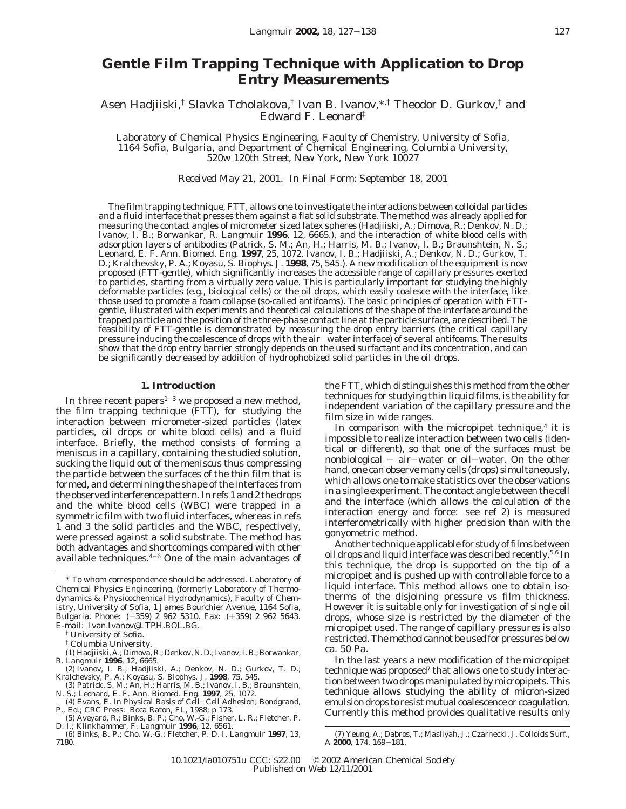# **Gentle Film Trapping Technique with Application to Drop Entry Measurements**

Asen Hadjiiski,† Slavka Tcholakova,† Ivan B. Ivanov,\*,† Theodor D. Gurkov,† and Edward F. Leonard‡

*Laboratory of Chemical Physics Engineering, Faculty of Chemistry, University of Sofia, 1164 Sofia, Bulgaria, and Department of Chemical Engineering, Columbia University, 520w 120th Street, New York, New York 10027*

*Received May 21, 2001. In Final Form: September 18, 2001*

The film trapping technique, FTT, allows one to investigate the interactions between colloidal particles and a fluid interface that presses them against a flat solid substrate. The method was already applied for measuring the contact angles of micrometer sized latex spheres (Hadjiiski, A.; Dimova, R.; Denkov, N. D.; Ivanov, I. B.; Borwankar, R. *Langmuir* **1996**, *12*, 6665.), and the interaction of white blood cells with adsorption layers of antibodies (Patrick, S. M.; An, H.; Harris, M. B.; Ivanov, I. B.; Braunshtein, N. S.; Leonard, E. F. *Ann. Biomed. Eng.* **1997**, *25*, 1072. Ivanov, I. B.; Hadjiiski, A.; Denkov, N. D.; Gurkov, T. D.; Kralchevsky, P. A.; Koyasu, S. *Biophys. J.* **1998**, *75*, 545.). A new modification of the equipment is now proposed (FTT-gentle), which significantly increases the accessible range of capillary pressures exerted to particles, starting from a virtually zero value. This is particularly important for studying the highly deformable particles (e.g., biological cells) or the oil drops, which easily coalesce with the interface, like those used to promote a foam collapse (so-called antifoams). The basic principles of operation with FTTgentle, illustrated with experiments and theoretical calculations of the shape of the interface around the trapped particle and the position of the three-phase contact line at the particle surface, are described. The feasibility of FTT-gentle is demonstrated by measuring the drop entry barriers (the critical capillary pressure inducing the coalescence of drops with the air—water interface) of several antifoams. The results<br>show that the drop entry barrier strongly depends on the used surfactant and its concentration, and can show that the drop entry barrier strongly depends on the used surfactant and its concentration, and can be significantly decreased by addition of hydrophobized solid particles in the oil drops.

# **1. Introduction**

In three recent papers<sup>1-3</sup> we proposed a new method, the film trapping technique (FTT), for studying the interaction between micrometer-sized particles (latex particles, oil drops or white blood cells) and a fluid interface. Briefly, the method consists of forming a meniscus in a capillary, containing the studied solution, sucking the liquid out of the meniscus thus compressing the particle between the surfaces of the thin film that is formed, and determining the shape of the interfaces from the observed interference pattern. In refs 1 and 2 the drops and the white blood cells (WBC) were trapped in a symmetric film with two fluid interfaces, whereas in refs 1 and 3 the solid particles and the WBC, respectively, were pressed against a solid substrate. The method has both advantages and shortcomings compared with other available techniques. $4-6$  One of the main advantages of

† University of Sofia.

‡ Columbia University.

(1) Hadjiiski, A.; Dimova, R.; Denkov, N. D.; Ivanov, I. B.; Borwankar, R. *Langmuir* **1996**, *12*, 6665.

- (2) Ivanov, I. B.; Hadjiiski, A.; Denkov, N. D.; Gurkov, T. D.; Kralchevsky, P. A.; Koyasu, S. *Biophys. J.* **1998**, 75, 545.<br>(3) Patrick, S. M.; An, H.; Harris, M. B.; Ivanov, I. B.; Braunshtein, N. S.; Leonard, E. F. *An*
- 
- (4) Evans, E. In *Physical Basis of Cell–Cell Adhesion*; Bondgrand,<br>P., Ed.; CRC Press: Boca Raton, FL, 1988; p 173.<br>(5) Aveyard, R.; Binks, B. P.; Cho, W.-G.; Fisher, L. R.; Fletcher, P.<br>D. I.; Klinkhammer, F. *Langmuir*

the FTT, which distinguishes this method from the other techniques for studying thin liquid films, is the ability for independent variation of the capillary pressure and the film size in wide ranges.

In comparison with the micropipet technique, $4$  it is impossible to realize interaction between two cells (identical or different), so that one of the surfaces must be nonbiological  $-$  air-water or oil-water. On the other hand, one can observe many cells (drops) simultaneously, which allows one to make statistics over the observations in a single experiment. The contact angle between the cell and the interface (which allows the calculation of the interaction energy and force: see ref 2) is measured interferometrically with higher precision than with the gonyometric method.

Another technique applicable for study of films between oil drops and liquid interface was described recently.5,6 In this technique, the drop is supported on the tip of a micropipet and is pushed up with controllable force to a liquid interface. This method allows one to obtain isotherms of the disjoining pressure vs film thickness. However it is suitable only for investigation of single oil drops, whose size is restricted by the diameter of the micropipet used. The range of capillary pressures is also restricted. The method cannot be used for pressures below ca. 50 Pa.

In the last years a new modification of the micropipet technique was proposed<sup>7</sup> that allows one to study interaction between two drops manipulated by micropipets. This technique allows studying the ability of micron-sized emulsion drops to resist mutual coalescence or coagulation. Currently this method provides qualitative results only

<sup>\*</sup> To whom correspondence should be addressed. Laboratory of Chemical Physics Engineering, (formerly Laboratory of Thermodynamics & Physicochemical Hydrodynamics), Faculty of Chemistry, University of Sofia, 1 James Bourchier Avenue, 1164 Sofia, Bulgaria. Phone: (+359) 2 962 5310. Fax: (+359) 2 962 5643. E-mail: Ivan.Ivanov@LTPH.BOL.BG.

<sup>(6)</sup> Binks, B. P.; Cho, W.-G.; Fletcher, P. D. I. *Langmuir* **1997**, *13*, 7180.

<sup>(7)</sup> Yeung, A.; Dabros, T.; Masliyah, J.; Czarnecki, J. *Colloids Surf., <sup>A</sup>* **<sup>2000</sup>**, 174, 169-181.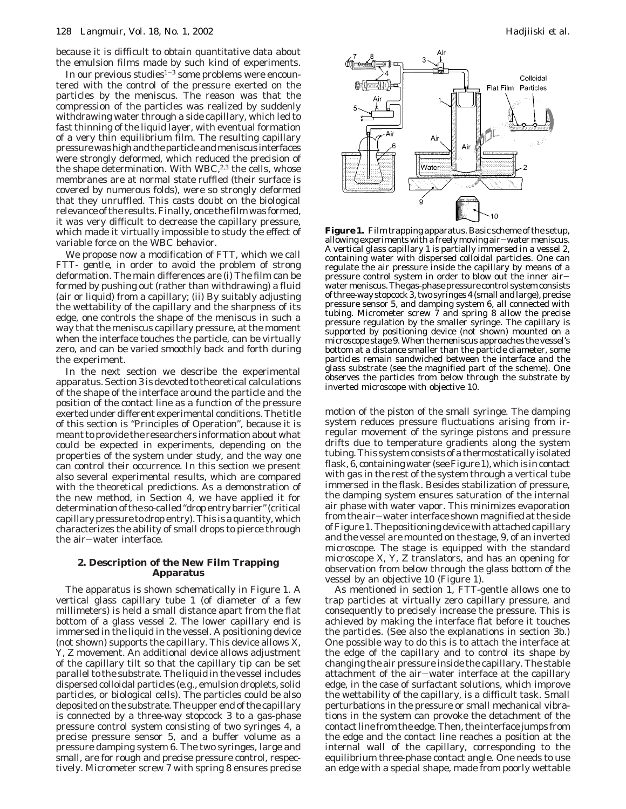because it is difficult to obtain quantitative data about the emulsion films made by such kind of experiments.

In our previous studies $1-3$  some problems were encountered with the control of the pressure exerted on the particles by the meniscus. The reason was that the compression of the particles was realized by suddenly withdrawing water through a side capillary, which led to fast thinning of the liquid layer, with eventual formation of a very thin equilibrium film. The resulting capillary pressure was high and the particle and meniscus interfaces were strongly deformed, which reduced the precision of the shape determination. With WBC, $2,3$  the cells, whose membranes are at normal state ruffled (their surface is covered by numerous folds), were so strongly deformed that they unruffled. This casts doubt on the biological relevance of the results. Finally, once the film was formed, it was very difficult to decrease the capillary pressure, which made it virtually impossible to study the effect of variable force on the WBC behavior.

We propose now a modification of FTT, which we call *FTT- gentle,* in order to avoid the problem of strong deformation. The main differences are (i) The film can be formed by pushing out (rather than withdrawing) a fluid (air or liquid) from a capillary; (ii) By suitably adjusting the wettability of the capillary and the sharpness of its edge, one controls the shape of the meniscus in such a way that the meniscus capillary pressure, at the moment when the interface touches the particle, can be virtually zero, and can be varied smoothly back and forth during the experiment.

In the next section we describe the experimental apparatus. Section 3 is devoted to theoretical calculations of the shape of the interface around the particle and the position of the contact line as a function of the pressure exerted under different experimental conditions. The title of this section is "Principles of Operation", because it is meant to provide the researchers information about what could be expected in experiments, depending on the properties of the system under study, and the way one can control their occurrence. In this section we present also several experimental results, which are compared with the theoretical predictions. As a demonstration of the new method, in Section 4, we have applied it for determination of the so-called "drop entry barrier" (critical capillary pressure to drop entry). This is a quantity, which characterizes the ability of small drops to pierce through the air-water interface.

#### **2. Description of the New Film Trapping Apparatus**

The apparatus is shown schematically in Figure 1. A vertical glass capillary tube 1 (of diameter of a few millimeters) is held a small distance apart from the flat bottom of a glass vessel 2. The lower capillary end is immersed in the liquid in the vessel. A positioning device (not shown) supports the capillary. This device allows *X*, *Y*, *Z* movement. An additional device allows adjustment of the capillary tilt so that the capillary tip can be set parallel to the substrate. The liquid in the vessel includes dispersed colloidal particles (e.g., emulsion droplets, solid particles, or biological cells). The particles could be also deposited on the substrate. The upper end of the capillary is connected by a three-way stopcock 3 to a gas-phase pressure control system consisting of two syringes 4, a precise pressure sensor 5, and a buffer volume as a pressure damping system 6. The two syringes, large and small, are for rough and precise pressure control, respectively. Micrometer screw 7 with spring 8 ensures precise



**Figure 1.** Film trapping apparatus. Basic scheme of the setup, allowing experiments with a freely moving air-water meniscus. A vertical glass capillary 1 is partially immersed in a vessel 2, containing water with dispersed colloidal particles. One can regulate the air pressure inside the capillary by means of a pressure control system in order to blow out the inner airwater meniscus. The gas-phase pressure control system consists of three-way stopcock 3, two syringes 4 (small and large), precise pressure sensor 5, and damping system 6, all connected with tubing. Micrometer screw  $\hat{7}$  and spring 8 allow the precise pressure regulation by the smaller syringe. The capillary is supported by positioning device (not shown) mounted on a microscope stage 9. When the meniscus approaches the vessel's bottom at a distance smaller than the particle diameter, some particles remain sandwiched between the interface and the glass substrate (see the magnified part of the scheme). One observes the particles from below through the substrate by inverted microscope with objective 10.

motion of the piston of the small syringe. The damping system reduces pressure fluctuations arising from irregular movement of the syringe pistons and pressure drifts due to temperature gradients along the system tubing. This system consists of a thermostatically isolated flask, 6, containing water (see Figure 1), which is in contact with gas in the rest of the system through a vertical tube immersed in the flask. Besides stabilization of pressure, the damping system ensures saturation of the internal air phase with water vapor. This minimizes evaporation from the air-water interface shown magnified at the side of Figure 1. The positioning device with attached capillary and the vessel are mounted on the stage, 9, of an inverted microscope. The stage is equipped with the standard microscope *X*, *Y*, *Z* translators, and has an opening for observation from below through the glass bottom of the vessel by an objective 10 (Figure 1).

As mentioned in section 1, FTT-gentle allows one to trap particles at virtually zero capillary pressure, and consequently to precisely increase the pressure. This is achieved by making the interface flat before it touches the particles. (See also the explanations in section 3b.) One possible way to do this is to attach the interface at the edge of the capillary and to control its shape by changing the air pressure inside the capillary. The stable attachment of the air-water interface at the capillary edge, in the case of surfactant solutions, which improve the wettability of the capillary, is a difficult task. Small perturbations in the pressure or small mechanical vibrations in the system can provoke the detachment of the contact line from the edge. Then, the interface jumps from the edge and the contact line reaches a position at the internal wall of the capillary, corresponding to the equilibrium three-phase contact angle. One needs to use an edge with a special shape, made from poorly wettable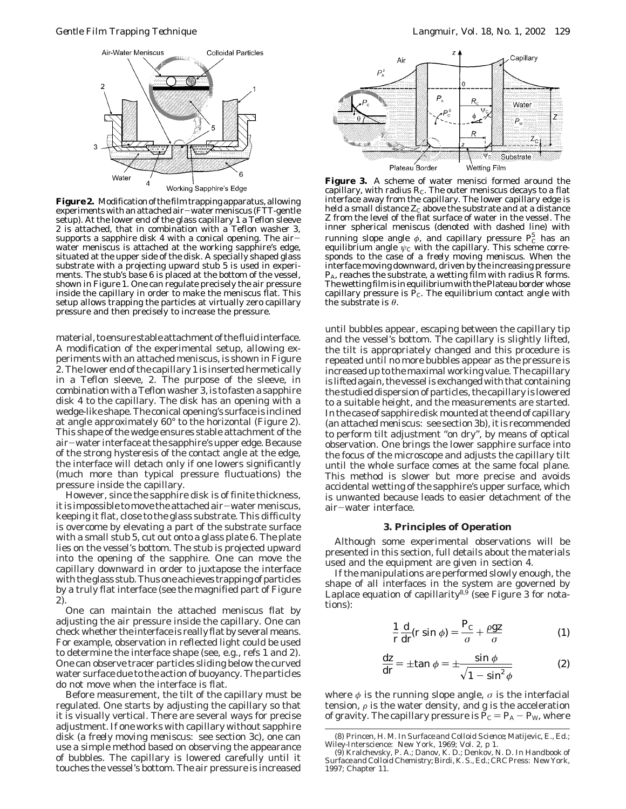

**Figure 2.** Modification of the film trapping apparatus, allowing experiments with an attached air-water meniscus (FTT-gentle setup). At the lower end of the glass capillary 1 a Teflon sleeve 2 is attached, that in combination with a Teflon washer 3, supports a sapphire disk 4 with a conical opening. The airwater meniscus is attached at the working sapphire's edge, situated at the upper side of the disk. A specially shaped glass substrate with a projecting upward stub 5 is used in experiments. The stub's base 6 is placed at the bottom of the vessel, shown in Figure 1. One can regulate precisely the air pressure inside the capillary in order to make the meniscus flat. This setup allows trapping the particles at virtually zero capillary pressure and then precisely to increase the pressure.

material, to ensure stable attachment of the fluid interface. A modification of the experimental setup, allowing experiments with an attached meniscus, is shown in Figure 2. The lower end of the capillary 1 is inserted hermetically in a Teflon sleeve, 2. The purpose of the sleeve, in combination with a Teflon washer 3, is to fasten a sapphire disk 4 to the capillary. The disk has an opening with a wedge-like shape. The conical opening's surface is inclined at angle approximately 60° to the horizontal (Figure 2). This shape of the wedge ensures stable attachment of the air-water interface at the sapphire's upper edge. Because of the strong hysteresis of the contact angle at the edge, the interface will detach only if one lowers significantly (much more than typical pressure fluctuations) the pressure inside the capillary.

However, since the sapphire disk is of finite thickness, it is impossible to move the attached air-water meniscus, keeping it flat, close to the glass substrate. This difficulty is overcome by elevating a part of the substrate surface with a small stub 5, cut out onto a glass plate 6. The plate lies on the vessel's bottom. The stub is projected upward into the opening of the sapphire. One can move the capillary downward in order to juxtapose the interface with the glass stub. Thus one achieves trapping of particles by a truly flat interface (see the magnified part of Figure 2).

One can maintain the attached meniscus flat by adjusting the air pressure inside the capillary. One can check whether the interface is really flat by several means. For example, observation in reflected light could be used to determine the interface shape (see, e.g., refs 1 and 2). One can observe tracer particles sliding below the curved water surface due to the action of buoyancy. The particles do not move when the interface is flat.

Before measurement, the tilt of the capillary must be regulated. One starts by adjusting the capillary so that it is visually vertical. There are several ways for precise adjustment. If one works with capillary without sapphire disk (a *freely moving meniscus*: see section 3c), one can use a simple method based on observing the appearance of bubbles. The capillary is lowered carefully until it touches the vessel's bottom. The air pressure is increased



**Figure 3.** A scheme of water menisci formed around the capillary, with radius  $R<sub>C</sub>$ . The outer meniscus decays to a flat interface away from the capillary. The lower capillary edge is held a small distance  $Z_{\rm C}$  above the substrate and at a distance *Z* from the level of the flat surface of water in the vessel. The inner spherical meniscus (denoted with dashed line) with running slope angle  $\phi$ , and capillary pressure  $P_{\text{C}}^{\text{S}}$  has an equilibrium angle  $\psi_{\texttt{C}}$  with the capillary. This scheme corresponds to the case of a *freely moving meniscus*. When the interface moving downward, driven by the increasing pressure *P*A, reaches the substrate, a wetting film with radius *R* forms. The wetting film is in equilibrium with the Plateau border whose capillary pressure is  $\bar{P}_C$ . The equilibrium contact angle with the substrate is *θ*.

until bubbles appear, escaping between the capillary tip and the vessel's bottom. The capillary is slightly lifted, the tilt is appropriately changed and this procedure is repeated until no more bubbles appear as the pressure is increased up to the maximal working value. The capillary is lifted again, the vessel is exchanged with that containing the studied dispersion of particles, the capillary is lowered to a suitable height, and the measurements are started. In the case of sapphire disk mounted at the end of capillary (an *attached meniscus*: see section 3b), it is recommended to perform tilt adjustment "on dry", by means of optical observation. One brings the lower sapphire surface into the focus of the microscope and adjusts the capillary tilt until the whole surface comes at the same focal plane. This method is slower but more precise and avoids accidental wetting of the sapphire's upper surface, which is unwanted because leads to easier detachment of the air-water interface.

#### **3. Principles of Operation**

Although some experimental observations will be presented in this section, full details about the materials used and the equipment are given in section 4.

If the manipulations are performed slowly enough, the shape of all interfaces in the system are governed by Laplace equation of capillarity $8,9$  (see Figure 3 for notations):

$$
\frac{1}{r}\frac{d}{dr}(r\sin\phi) = \frac{P_{\rm C}}{\sigma} + \frac{\rho g z}{\sigma} \tag{1}
$$

$$
\frac{\mathrm{d}z}{\mathrm{d}r} = \pm \tan \phi = \pm \frac{\sin \phi}{\sqrt{1 - \sin^2 \phi}} \tag{2}
$$

where  $\phi$  is the running slope angle,  $\sigma$  is the interfacial tension,  $\rho$  is the water density, and  $g$  is the acceleration of gravity. The capillary pressure is  $P_C = P_A - P_W$ , where

<sup>(8)</sup> Princen, H. M. In *Surface and Colloid Science*; Matijevic, E., Ed.; Wiley-Interscience: New York, 1969; Vol. 2, p 1.

<sup>(9)</sup> Kralchevsky, P. A.; Danov, K. D.; Denkov, N. D. In *Handbook of Surface and Colloid Chemistry*; Birdi, K. S., Ed.; CRC Press: New York, 1997; Chapter 11.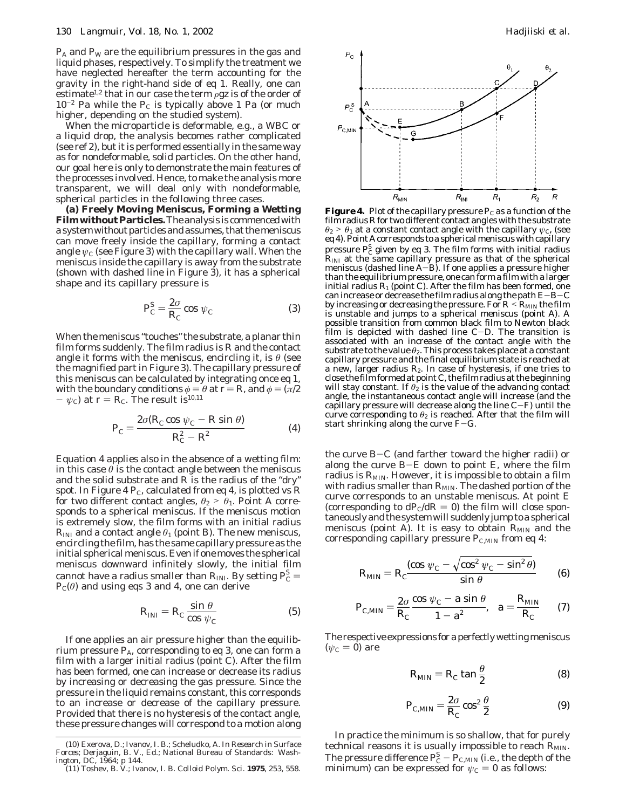$P_A$  and  $P_W$  are the equilibrium pressures in the gas and liquid phases, respectively. To simplify the treatment we have neglected hereafter the term accounting for the gravity in the right-hand side of eq 1. Really, one can estimate<sup>1,2</sup> that in our case the term  $\rho gz$  is of the order of  $10^{-2}$  Pa while the  $P_{\rm C}$  is typically above 1 Pa (or much higher, depending on the studied system).

When the microparticle is deformable, e.g., a WBC or a liquid drop, the analysis becomes rather complicated (see ref 2), but it is performed essentially in the same way as for nondeformable, solid particles. On the other hand, our goal here is only to demonstrate the main features of the processes involved. Hence, to make the analysis more transparent, we will deal only with nondeformable, spherical particles in the following three cases.

**(a) Freely Moving Meniscus, Forming a Wetting Film without Particles.** The analysis is commenced with a system without particles and assumes, that the meniscus can move freely inside the capillary, forming a contact angle  $\psi_c$  (see Figure 3) with the capillary wall. When the meniscus inside the capillary is away from the substrate (shown with dashed line in Figure 3), it has a spherical shape and its capillary pressure is

$$
P_{\rm C}^{\rm S} = \frac{2\sigma}{R_{\rm C}} \cos \psi_{\rm C} \tag{3}
$$

When the meniscus "touches" the substrate, a planar thin film forms suddenly. The film radius is *R* and the contact angle it forms with the meniscus, encircling it, is *θ* (see the magnified part in Figure 3). The capillary pressure of this meniscus can be calculated by integrating once eq 1, with the boundary conditions  $\phi = \theta$  at  $r = R$ , and  $\phi = (\pi/2)$  $-\psi_c$ ) at  $r = R_c$ . The result is<sup>10,11</sup>

$$
P_{\rm C} = \frac{2\sigma (R_{\rm C} \cos \psi_{\rm C} - R \sin \theta)}{R_{\rm C}^2 - R^2}
$$
(4)

Equation 4 applies also in the absence of a wetting film: in this case  $\theta$  is the contact angle between the meniscus and the solid substrate and *R* is the radius of the "dry" spot. In Figure 4  $P_{\text{C}}$ , calculated from eq 4, is plotted vs  $R$ for two different contact angles,  $\theta_2 > \theta_1$ . Point A corresponds to a spherical meniscus. If the meniscus motion is extremely slow, the film forms with an initial radius  $R_{\text{INI}}$  and a contact angle  $\theta_1$  (point *B*). The new meniscus, encircling the film, has the same capillary pressure as the initial spherical meniscus. Even if one moves the spherical meniscus downward infinitely slowly, the initial film cannot have a radius smaller than  $R_{\text{INI}}$ . By setting  $P_{\text{C}}^{\text{S}}$  $P_{\rm C}(\theta)$  and using eqs 3 and 4, one can derive

$$
R_{\rm INI} = R_{\rm C} \frac{\sin \theta}{\cos \psi_{\rm C}} \tag{5}
$$

If one applies an air pressure higher than the equilibrium pressure  $P_A$ , corresponding to eq 3, one can form a film with a larger initial radius (point *C*). After the film has been formed, one can increase or decrease its radius by increasing or decreasing the gas pressure. Since the pressure in the liquid remains constant, this corresponds to an increase or decrease of the capillary pressure. Provided that there is no hysteresis of the contact angle, these pressure changes will correspond to a motion along



Figure 4. Plot of the capillary pressure  $P_c$  as a function of the film radius *R* for two different contact angles with the substrate  $\theta_2$  >  $\theta_1$  at a constant contact angle with the capillary  $\psi_c$ , (see eq 4). Point *A* corresponds to a spherical meniscus with capillary pressure  $P_{\rm C}^{\rm S}$  given by eq 3. The film forms with initial radius  $R_{\text{INI}}$  at the same capillary pressure as that of the spherical meniscus (dashed line *<sup>A</sup>*-*B*). If one applies a pressure higher than the equilibrium pressure, one can form a film with a larger initial radius  $R_1$  (point  $C$ ). After the film has been formed, one can increase or decrease the film radius along the path *<sup>E</sup>*-*B*-*<sup>C</sup>* by increasing or decreasing the pressure. For  $R \leq R_{\text{MIN}}$  the film is unstable and jumps to a spherical meniscus (point *A*). A possible transition from common black film to Newton black film is depicted with dashed line *<sup>C</sup>*-*D*. The transition is associated with an increase of the contact angle with the substrate to the value  $\theta_2$ . This process takes place at a constant capillary pressure and the final equilibrium state is reached at a new, larger radius  $R_2$ . In case of hysteresis, if one tries to close the film formed at point *C*, the film radius at the beginning will stay constant. If  $\theta_2$  is the value of the advancing contact angle, the instantaneous contact angle will increase (and the capillary pressure will decrease along the line *<sup>C</sup>*-*F*) until the curve corresponding to  $\theta_2$  is reached. After that the film will start shrinking along the curve  $F-G$ .

the curve  $B-C$  (and farther toward the higher radii) or along the curve  $B$ – $E$  down to point  $E$ , where the film radius is  $R_{MIN}$ . However, it is impossible to obtain a film with radius smaller than  $R_{MIN}$ . The dashed portion of the curve corresponds to an unstable meniscus. At point E (corresponding to  $dP_C/dR = 0$ ) the film will close spontaneously and the system will suddenly jump to a spherical meniscus (point A). It is easy to obtain  $R_{MIN}$  and the corresponding capillary pressure  $P_{\text{C,MIN}}$  from eq 4:

$$
R_{\text{MIN}} = R_{\text{C}} \frac{(\cos \psi_{\text{C}} - \sqrt{\cos^2 \psi_{\text{C}} - \sin^2 \theta})}{\sin \theta} \tag{6}
$$

$$
P_{\text{C,MIN}} = \frac{2\sigma}{R_{\text{C}}} \frac{\cos \psi_{\text{C}} - a \sin \theta}{1 - a^2}, \quad a = \frac{R_{\text{MIN}}}{R_{\text{C}}}
$$
 (7)

The respective expressions for a perfectly wetting meniscus  $(\psi_C = 0)$  are

$$
R_{\text{MIN}} = R_{\text{C}} \tan \frac{\theta}{2} \tag{8}
$$

$$
P_{\text{C,MIN}} = \frac{2\sigma}{R_{\text{C}}} \cos^2 \frac{\theta}{2} \tag{9}
$$

In practice the minimum is so shallow, that for purely technical reasons it is usually impossible to reach  $R_{\text{MIN}}$ . The pressure difference  $P_{\rm C}^{\rm B} - P_{\rm C,MIN}$  (i.e., the depth of the minimum) can be expressed for  $\psi_{\rm C} = 0$  as follows: minimum) can be expressed for  $\psi_c = 0$  as follows:

ington, DC, 1964; p 144. (11) Toshev, B. V.; Ivanov, I. B. *Colloid Polym. Sci.* **1975**, *253*, 558.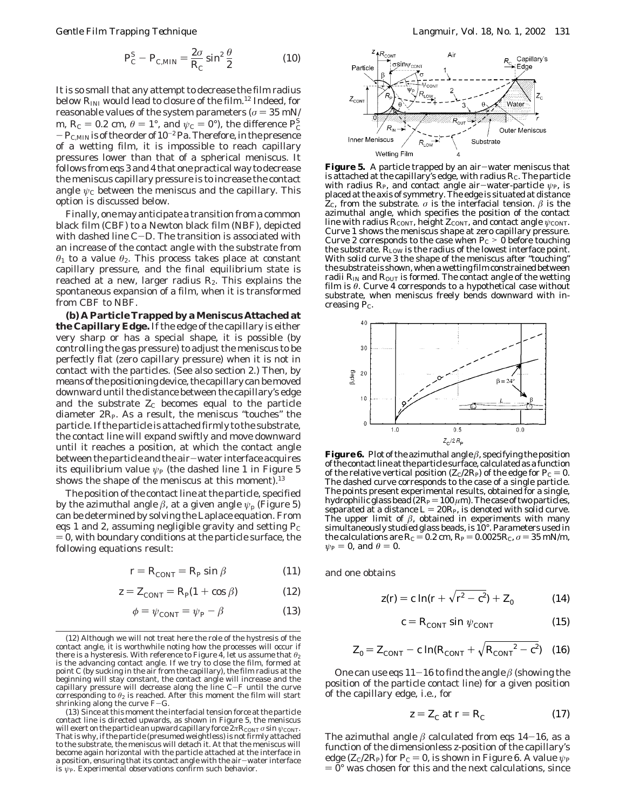$$
P_{\rm C}^{\rm S} - P_{\rm C,MIN} = \frac{2\sigma}{R_{\rm C}} \sin^2 \frac{\theta}{2} \tag{10}
$$

It is so small that any attempt to decrease the film radius below  $R_{\text{INI}}$  would lead to closure of the film.<sup>12</sup> Indeed, for reasonable values of the system parameters ( $\sigma = 35$  mN/ m,  $R_C = 0.2$  cm,  $\theta = 1^{\circ}$ , and  $\psi_C = 0^{\circ}$ , the difference  $P_C^{\circ}$ <br>  $P_{\text{CMB}}$  is of the order of  $10^{-2}$  Pa. Therefore, in the presence  $-P_{\text{C,MIN}}$  is of the order of  $10^{-2}$  Pa. Therefore, in the presence of a wetting film, it is impossible to reach capillary pressures lower than that of a spherical meniscus. It follows from eqs 3 and 4 that one practical way to decrease the meniscus capillary pressure is to increase the contact angle  $\psi_c$  between the meniscus and the capillary. This option is discussed below.

Finally, one may anticipate a transition from a common black film (CBF) to a Newton black film (NBF), depicted with dashed line *<sup>C</sup>*-*D*. The transition is associated with an increase of the contact angle with the substrate from  $\theta_1$  to a value  $\theta_2$ . This process takes place at constant capillary pressure, and the final equilibrium state is reached at a new, larger radius  $R_2$ . This explains the spontaneous expansion of a film, when it is transformed from CBF to NBF.

**(b) A Particle Trapped by a Meniscus Attached at the Capillary Edge.** If the edge of the capillary is either very sharp or has a special shape, it is possible (by controlling the gas pressure) to adjust the meniscus to be perfectly flat (zero capillary pressure) when it is not in contact with the particles. (See also section 2.) Then, by means of the positioning device, the capillary can be moved downward until the distance between the capillary's edge and the substrate  $Z_C$  becomes equal to the particle diameter 2 $R_{P}$ . As a result, the meniscus "touches" the particle. If the particle is attached firmly to the substrate, the contact line will expand swiftly and move downward until it reaches a position, at which the contact angle between the particle and the air-water interface acquires its equilibrium value  $\psi_P$  (the dashed line 1 in Figure 5 shows the shape of the meniscus at this moment).<sup>13</sup>

The position of the contact line at the particle, specified by the azimuthal angle  $\beta$ , at a given angle  $\psi_{\rm p}$  (Figure 5) can be determined by solving the Laplace equation. From eqs 1 and 2, assuming negligible gravity and setting  $P_{\rm C}$  $= 0$ , with boundary conditions at the particle surface, the following equations result:

$$
r = R_{\text{CONT}} = R_{\text{P}} \sin \beta \tag{11}
$$

$$
z = Z_{\text{CONT}} = R_{\text{p}}(1 + \cos \beta) \tag{12}
$$

$$
\phi = \psi_{\text{CONT}} = \psi_{\text{P}} - \beta \tag{13}
$$

(12) Although we will not treat here the role of the hystresis of the contact angle, it is worthwhile noting how the processes will occur if there is a hysteresis. With reference to Figure 4, let us assume that  $\theta_2$ is the advancing contact angle. If we try to close the film, formed at point *C* (by sucking in the air from the capillary), the film radius at the beginning will stay constant, the contact angle will increase and the capillary pressure will decrease along the line  $C-F$  until the curve corresponding to  $\theta_2$  is reached. After this moment the film will start shrinking along the curve *<sup>F</sup>*-*G*.

(13) Since at this moment the interfacial tension force at the particle contact line is directed upwards, as shown in Figure 5, the meniscus will exert on the particle an upward capillary force  $2\pi R_{\text{CONT}}\sigma \sin \psi_{\text{CONT}}$ . That is why, if the particle (presumed weightless) is not firmly attached to the substrate, the meniscus will detach it. At that the meniscus will become again horizontal with the particle attached at the interface in a position, ensuring that its contact angle with the air-water interface is *ψ*P. Experimental observations confirm such behavior.



Figure 5. A particle trapped by an air-water meniscus that is attached at the capillary's edge, with radius  $R<sub>C</sub>$ . The particle with radius  $R_{\rm P}$ , and contact angle air-water-particle  $\psi_{\rm P}$ , is placed at the axis of symmetry. The edge is situated at distance **Z**<sub>C</sub>, from the substrate. *σ* is the interfacial tension.  $β$  is the azimuthal angle, which specifies the position of the contact line with radius  $R_{\text{CONT}}$ , height  $Z_{\text{CONT}}$ , and contact angle  $\psi_{\text{CONT}}$ . Curve 1 shows the meniscus shape at zero capillary pressure. Curve 2 corresponds to the case when  $P_C > 0$  before touching the substrate.  $R_{\text{LOW}}$  is the radius of the lowest interface point. With solid curve 3 the shape of the meniscus after "touching" the substrate is shown, when a wetting film constrained between radii  $R_{\text{IN}}$  and  $R_{\text{OUT}}$  is formed. The contact angle of the wetting film is *θ*. Curve 4 corresponds to a hypothetical case without substrate, when meniscus freely bends downward with increasing  $P_{\text{C}}$ .



**Figure 6.** Plot of the azimuthal angle  $\beta$ , specifying the position of the contact line at the particle surface, calculated as a function of the relative vertical position  $(Z_C/2R_P)$  of the edge for  $P_C = 0$ . The dashed curve corresponds to the case of a single particle. The points present experimental results, obtained for a single, hydrophilic glass bead  $(2R_P=100 \,\mu\text{m})$ . The case of two particles, separated at a distance  $L = 20R<sub>P</sub>$ , is denoted with solid curve. The upper limit of  $\beta$ , obtained in experiments with many simultaneously studied glass beads, is 10°. Parameters used in the calculations are  $R_C = 0.2$  cm,  $R_P = 0.0025 R_C$ ,  $\sigma = 35$  mN/m,  $\psi_P = 0$ , and  $\theta = 0$ .

and one obtains

$$
z(r) = c \ln(r + \sqrt{r^2 - c^2}) + Z_0 \tag{14}
$$

$$
c = R_{\text{CONT}} \sin \psi_{\text{CONT}} \tag{15}
$$

$$
Z_0 = Z_{\text{CONT}} - c \ln(R_{\text{CONT}} + \sqrt{R_{\text{CONT}}^2 - c^2}) \quad (16)
$$

One can use eqs  $11-16$  to find the angle  $\beta$  (showing the position of the particle contact line) for a given position of the capillary edge, i.e., for

$$
z = Z_{\rm C} \text{ at } r = R_{\rm C} \tag{17}
$$

The azimuthal angle  $\beta$  calculated from eqs 14-16, as a function of the dimensionless *z*-position of the capillary's edge ( $Z_C/2R_P$ ) for  $P_C = 0$ , is shown in Figure 6. A value  $\psi_P$  $= 0^{\circ}$  was chosen for this and the next calculations, since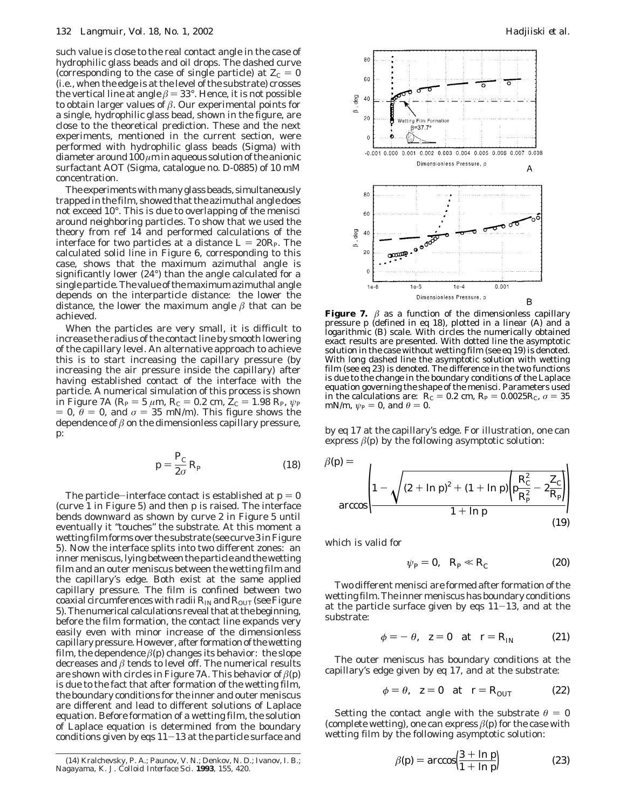such value is close to the real contact angle in the case of hydrophilic glass beads and oil drops. The dashed curve (corresponding to the case of single particle) at  $Z_c = 0$ (i.e., when the edge is at the level of the substrate) crosses the vertical line at angle  $\beta = 33^{\circ}$ . Hence, it is not possible to obtain larger values of *â*. Our experimental points for a single, hydrophilic glass bead, shown in the figure, are close to the theoretical prediction. These and the next experiments, mentioned in the current section, were performed with hydrophilic glass beads (Sigma) with diameter around  $100 \mu m$  in aqueous solution of the anionic surfactant AOT (Sigma, catalogue no. D-0885) of 10 mM concentration.

The experiments with many glass beads, simultaneously trapped in the film, showed that the azimuthal angle does not exceed 10°. This is due to overlapping of the menisci around neighboring particles. To show that we used the theory from ref 14 and performed calculations of the interface for two particles at a distance  $L = 20R_{\rm P}$ . The calculated solid line in Figure 6, corresponding to this case, shows that the maximum azimuthal angle is significantly lower (24°) than the angle calculated for a single particle. The value of the maximum azimuthal angle depends on the interparticle distance: the lower the distance, the lower the maximum angle  $\beta$  that can be achieved.

When the particles are very small, it is difficult to increase the radius of the contact line by smooth lowering of the capillary level. An alternative approach to achieve this is to start increasing the capillary pressure (by increasing the air pressure inside the capillary) after having established contact of the interface with the particle. A numerical simulation of this process is shown in Figure 7A ( $R_P = 5 \mu m$ ,  $R_C = 0.2 \text{ cm}$ ,  $Z_C = 1.98 R_P$ ,  $\psi_P$  $= 0$ ,  $\theta = 0$ , and  $\sigma = 35$  mN/m). This figure shows the dependence of  $\beta$  on the dimensionless capillary pressure, *p*:

$$
p = \frac{P_{\rm C}}{2\sigma} R_{\rm P} \tag{18}
$$

The particle-interface contact is established at  $p = 0$ (curve 1 in Figure 5) and then *p* is raised. The interface bends downward as shown by curve 2 in Figure 5 until eventually it "touches" the substrate. At this moment a wetting film forms over the substrate (see curve 3 in Figure 5). Now the interface splits into two different zones: an inner meniscus, lying between the particle and the wetting film and an outer meniscus between the wetting film and the capillary's edge. Both exist at the same applied capillary pressure. The film is confined between two coaxial circumferences with radii  $R_{\text{IN}}$  and  $R_{\text{OUT}}$  (see Figure 5). The numerical calculations reveal that at the beginning, before the film formation, the contact line expands very easily even with minor increase of the dimensionless capillary pressure. However, after formation of the wetting film, the dependence  $\beta(p)$  changes its behavior: the slope decreases and  $\beta$  tends to level off. The numerical results are shown with circles in Figure 7A. This behavior of  $\beta(p)$ is due to the fact that after formation of the wetting film, the boundary conditions for the inner and outer meniscus are different and lead to different solutions of Laplace equation. Before formation of a wetting film, the solution of Laplace equation is determined from the boundary conditions given by eqs  $11-13$  at the particle surface and



**Figure 7.**  $\beta$  as a function of the dimensionless capillary pressure *p* (defined in eq 18), plotted in a linear (A) and a logarithmic (B) scale. With circles the numerically obtained exact results are presented. With dotted line the asymptotic solution in the case without wetting film (see eq 19) is denoted. With long dashed line the asymptotic solution with wetting film (see eq 23) is denoted. The difference in the two functions is due to the change in the boundary conditions of the Laplace equation governing the shape of the menisci. Parameters used in the calculations are:  $R_C = 0.2$  cm,  $R_P = 0.0025 R_C$ ,  $\sigma = 35$ mN/m,  $\psi_P = 0$ , and  $\theta = 0$ .

by eq 17 at the capillary's edge. For illustration, one can express  $\beta(p)$  by the following asymptotic solution:

$$
\beta(p) = \frac{\left|1 - \sqrt{(2 + \ln p)^2 + (1 + \ln p) \left(p\frac{R_C^2}{R_P^2} - 2\frac{Z_C}{R_P}\right)}\right|}{1 + \ln p}
$$
\n(19)

which is valid for

$$
\psi_{\rm P} = 0, \quad R_{\rm P} \ll R_{\rm C} \tag{20}
$$

Two different menisci are formed after formation of the wetting film. The inner meniscus has boundary conditions at the particle surface given by eqs  $11-13$ , and at the substrate:

$$
\phi = -\theta, \quad z = 0 \quad \text{at} \quad r = R_{\text{IN}} \tag{21}
$$

The outer meniscus has boundary conditions at the capillary's edge given by eq 17, and at the substrate:

$$
\phi = \theta, \quad z = 0 \quad \text{at} \quad r = R_{\text{OUT}} \tag{22}
$$

Setting the contact angle with the substrate  $\theta = 0$ (complete wetting), one can express  $\beta(p)$  for the case with wetting film by the following asymptotic solution:

$$
\beta(p) = \arccos\left(\frac{3 + \ln p}{1 + \ln p}\right) \tag{23}
$$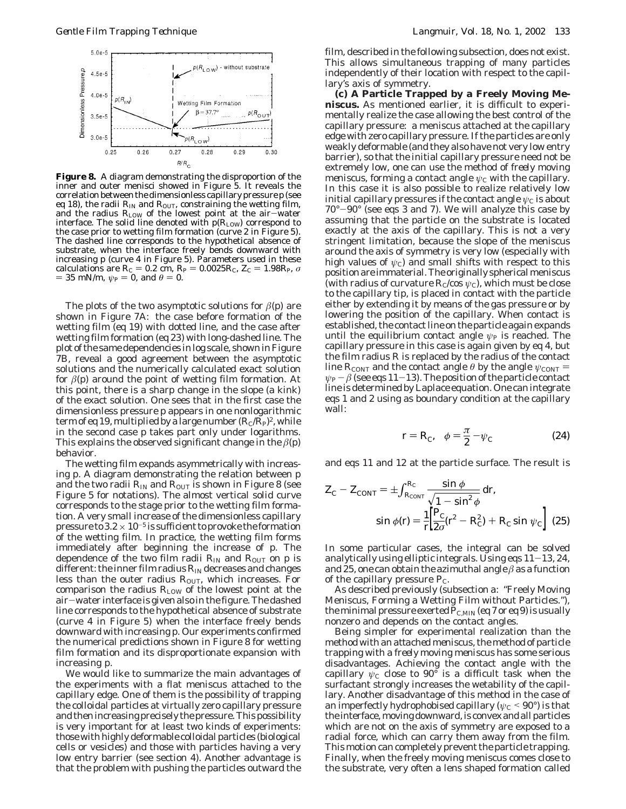

**Figure 8.** A diagram demonstrating the disproportion of the inner and outer menisci showed in Figure 5. It reveals the correlation between the dimensionless capillary pressure *p* (see eq 18), the radii  $R_{\text{IN}}$  and  $R_{\text{OUT}}$ , constraining the wetting film, and the radius  $R_{\text{LOW}}$  of the lowest point at the air-water interface. The solid line denoted with  $p(R_{\text{LOW}})$  correspond to the case prior to wetting film formation (curve 2 in Figure 5). The dashed line corresponds to the hypothetical absence of substrate, when the interface freely bends downward with increasing  $p$  (curve 4 in Figure 5). Parameters used in these calculations are  $R_C = 0.2$  cm,  $R_P = 0.0025 R_C$ ,  $Z_C = 1.98 R_P$ ,  $\sigma$  $= 35$  mN/m,  $\psi_{\rm P} = 0$ , and  $\theta = 0$ .

The plots of the two asymptotic solutions for  $\beta(p)$  are shown in Figure 7A: the case before formation of the wetting film (eq 19) with dotted line, and the case after wetting film formation (eq 23) with long-dashed line. The plot of the same dependencies in log scale, shown in Figure 7B, reveal a good agreement between the asymptotic solutions and the numerically calculated exact solution for  $\beta(p)$  around the point of wetting film formation. At this point, there is a sharp change in the slope (a kink) of the exact solution. One sees that in the first case the dimensionless pressure *p* appears in one nonlogarithmic term of eq 19, multiplied by a large number  $(R_C/R_P)^2$ , while in the second case *p* takes part only under logarithms. This explains the observed significant change in the  $\beta(p)$ behavior.

The wetting film expands asymmetrically with increasing *p*. A diagram demonstrating the relation between *p* and the two radii  $R_{\text{IN}}$  and  $R_{\text{OUT}}$  is shown in Figure 8 (see Figure 5 for notations). The almost vertical solid curve corresponds to the stage prior to the wetting film formation. A very small increase of the dimensionless capillary pressure to  $3.2 \times 10^{-5}$  is sufficient to provoke the formation of the wetting film. In practice, the wetting film forms immediately after beginning the increase of *p*. The dependence of the two film radii  $R_{\text{IN}}$  and  $R_{\text{OUT}}$  on  $p$  is different: the inner film radius  $R_{\text{IN}}$  decreases and changes less than the outer radius  $R_{\text{OUT}}$ , which increases. For comparison the radius  $R_{\text{LOW}}$  of the lowest point at the air-water interface is given also in the figure. The dashed line corresponds to the hypothetical absence of substrate (curve 4 in Figure 5) when the interface freely bends downward with increasing *p*. Our experiments confirmed the numerical predictions shown in Figure 8 for wetting film formation and its disproportionate expansion with increasing *p*.

We would like to summarize the main advantages of the experiments with a flat meniscus attached to the capillary edge. One of them is the possibility of trapping the colloidal particles at virtually zero capillary pressure and then increasing precisely the pressure. This possibility is very important for at least two kinds of experiments: those with highly deformable colloidal particles (biological cells or vesicles) and those with particles having a very low entry barrier (see section 4). Another advantage is that the problem with pushing the particles outward the

film, described in the following subsection, does not exist. This allows simultaneous trapping of many particles independently of their location with respect to the capillary's axis of symmetry.

**(c) A Particle Trapped by a Freely Moving Meniscus.** As mentioned earlier, it is difficult to experimentally realize the case allowing the best control of the capillary pressure: a meniscus attached at the capillary edge with zero capillary pressure. If the particles are only weakly deformable (and they also have not very low entry barrier), so that the initial capillary pressure need not be extremely low, one can use the method of *freely moving meniscus*, forming a contact angle  $\psi_c$  with the capillary. In this case it is also possible to realize relatively low initial capillary pressures if the contact angle  $\psi_c$  is about  $70^{\circ}-90^{\circ}$  (see eqs 3 and 7). We will analyze this case by assuming that the particle on the substrate is located exactly at the axis of the capillary. This is not a very stringent limitation, because the slope of the meniscus around the axis of symmetry is very low (especially with high values of  $\psi_c$ ) and small shifts with respect to this position are immaterial. The originally spherical meniscus (with radius of curvature  $R_C/\cos \psi_C$ ), which must be close to the capillary tip, is placed in contact with the particle either by extending it by means of the gas pressure or by lowering the position of the capillary. When contact is established, the contact line on the particle again expands until the equilibrium contact angle  $\psi_P$  is reached. The capillary pressure in this case is again given by eq 4, but the film radius *R* is replaced by the radius of the contact line  $R_{\text{CONT}}$  and the contact angle  $\theta$  by the angle  $\psi_{\text{CONT}} =$  $\psi_{\rm P}$  –  $\beta$  (see eqs 11–13). The position of the particle contact line is determined by Laplace equation. One can integrate eqs 1 and 2 using as boundary condition at the capillary wall:

$$
r = R_{\rm C}, \quad \phi = \frac{\pi}{2} - \psi_{\rm C} \tag{24}
$$

and eqs 11 and 12 at the particle surface. The result is

$$
Z_{\rm C} - Z_{\rm CONT} = \pm \int_{R_{\rm CONT}}^{R_{\rm C}} \frac{\sin \phi}{\sqrt{1 - \sin^2 \phi}} \, \mathrm{d}r,
$$

$$
\sin \phi(r) = \frac{1}{r} \left[ \frac{P_{\rm C}}{2\sigma} (r^2 - R_{\rm C}^2) + R_{\rm C} \sin \psi_{\rm C} \right] \tag{25}
$$

In some particular cases, the integral can be solved analytically using elliptic integrals. Using eqs  $11-13$ ,  $24$ , and 25, one can obtain the azimuthal angle  $\beta$  as a function of the capillary pressure  $P_{\rm C}$ .

As described previously (subsection a: "Freely Moving Meniscus, Forming a Wetting Film without Particles."), the minimal pressure exerted  $P_{\text{C,MIN}}$  (eq 7 or eq 9) is usually nonzero and depends on the contact angles.

Being simpler for experimental realization than the method with an *attached meniscus*, the method of particle trapping with a *freely moving meniscus* has some serious disadvantages. Achieving the contact angle with the capillary  $\psi_c$  close to 90<sup>°</sup> is a difficult task when the surfactant strongly increases the wetability of the capillary. Another disadvantage of this method in the case of an imperfectly hydrophobised capillary ( $\psi_c$  < 90°) is that the interface, moving downward, is convex and all particles which are not on the axis of symmetry are exposed to a radial force, which can carry them away from the film. This motion can completely prevent the particle trapping. Finally, when the freely moving meniscus comes close to the substrate, very often a lens shaped formation called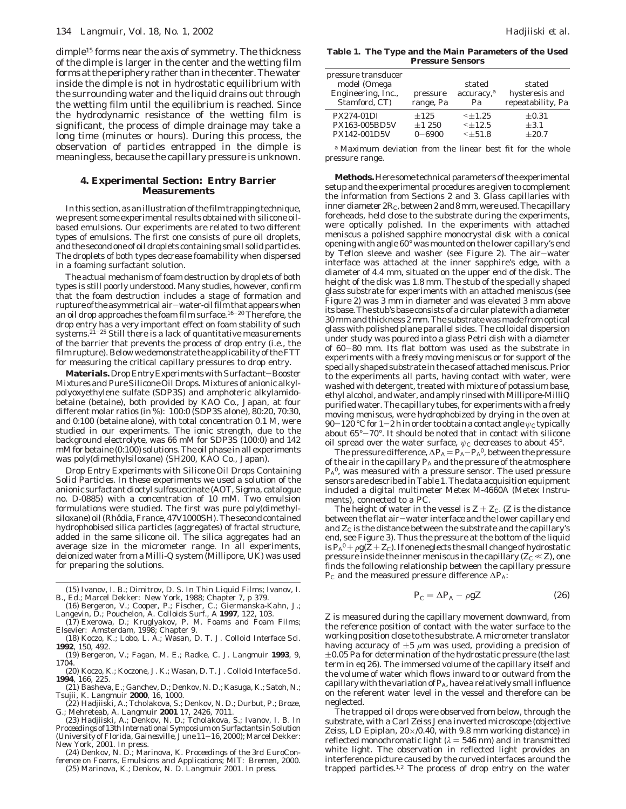dimple<sup>15</sup> forms near the axis of symmetry. The thickness of the dimple is larger in the center and the wetting film forms at the periphery rather than in the center. The water inside the dimple is not in hydrostatic equilibrium with the surrounding water and the liquid drains out through the wetting film until the equilibrium is reached. Since the hydrodynamic resistance of the wetting film is significant, the process of dimple drainage may take a long time (minutes or hours). During this process, the observation of particles entrapped in the dimple is meaningless, because the capillary pressure is unknown.

# **4. Experimental Section: Entry Barrier Measurements**

In this section, as an illustration of the film trapping technique, we present some experimental results obtained with silicone oilbased emulsions. Our experiments are related to two different types of emulsions. The first one consists of pure oil droplets, and the second one of oil droplets containing small solid particles. The droplets of both types decrease foamability when dispersed in a foaming surfactant solution.

The actual mechanism of foam destruction by droplets of both types is still poorly understood. Many studies, however, confirm that the foam destruction includes a stage of formation and rupture of the asymmetrical air-water-oil film that appears when an oil drop approaches the foam film surface.16-<sup>20</sup> Therefore, the drop entry has a very important effect on foam stability of such systems.<sup>21-25</sup> Still there is a lack of quantitative measurements of the barrier that prevents the process of drop entry (i.e., the film rupture). Below we demonstrate the applicability of the FTT for measuring the critical capillary pressures to drop entry.

**Materials.** *Drop Entry Experiments with Surfactant*-*Booster Mixtures and Pure Silicone Oil Drops.* Mixtures of anionic alkylpolyoxyethylene sulfate (SDP3S) and amphoteric alkylamidobetaine (betaine), both provided by KAO Co., Japan, at four different molar ratios (in %): 100:0 (SDP3S alone), 80:20, 70:30, and 0:100 (betaine alone), with total concentration 0.1 M, were studied in our experiments. The ionic strength, due to the background electrolyte, was 66 mM for SDP3S (100:0) and 142 mM for betaine (0:100) solutions. The oil phase in all experiments was poly(dimethylsiloxane) (SH200, KAO Co., Japan).

*Drop Entry Experiments with Silicone Oil Drops Containing Solid Particles.* In these experiments we used a solution of the anionic surfactant dioctyl sulfosuccinate (AOT, Sigma, catalogue no. D-0885) with a concentration of 10 mM. Two emulsion formulations were studied. The first was pure poly(dimethylsiloxane) oil (Rhôdia, France, 47V1000SH). The second contained hydrophobised silica particles (aggregates) of fractal structure, added in the same silicone oil. The silica aggregates had an average size in the micrometer range. In all experiments, deionized water from a Milli-Q system (Millipore, UK) was used for preparing the solutions.

- (15) Ivanov, I. B.; Dimitrov, D. S. In *Thin Liquid Films*; Ivanov, I. B., Ed.; Marcel Dekker: New York, 1988; Chapter 7, p 379.
- (16) Bergeron, V.; Cooper, P.; Fischer, C.; Giermanska-Kahn, J.; Langevin, D.; Pouchelon, A. *Colloids Surf., A* **1997**, *122*, 103.
- (17) Exerowa, D.; Kruglyakov, P. M. *Foams and Foam Films*; Elsevier: Amsterdam, 1998; Chapter 9. (18) Koczo, K.; Lobo, L. A.; Wasan, D. T. *J. Colloid Interface Sci.*
- **1992**, *150*, 492. (19) Bergeron, V.; Fagan, M. E.; Radke, C. J. *Langmuir* **1993**, *9*,
- 1704.
- (20) Koczo, K.; Koczone, J. K.; Wasan, D. T. *J. Colloid Interface Sci.* **1994**, *166*, 225.
- (21) Basheva, E.; Ganchev, D.; Denkov, N. D.; Kasuga, K.; Satoh, N.; Tsujii, K. *Langmuir* **2000**, *16*, 1000.
- (22) Hadjiiski, A.; Tcholakova, S.; Denkov, N. D.; Durbut, P.; Broze, G.; Mehreteab, A. *Langmuir* **2001** *17*, 2426, 7011. (23) Hadjiiski, A.; Denkov, N. D.; Tcholakova, S.; Ivanov, I. B. In
- *Proceedings of 13th International Symposium on Surfactants in Solution (University of Florida, Gainesville, June 11*-*16, 2000)*; Marcel Dekker: New York, 2001. In press.
- (24) Denkov, N. D.; Marinova, K. *Proceedings of the 3rd EuroConference on Foams, Emulsions and Applications*; MIT: Bremen, 2000. (25) Marinova, K.; Denkov, N. D. *Langmuir* 2001. In press.

**Table 1. The Type and the Main Parameters of the Used Pressure Sensors**

| pressure transducer<br>model (Omega<br>Engineering, Inc.,<br>Stamford, CT) | pressure<br>range, Pa | stated<br>accuracy, a<br>Pa | stated<br>hysteresis and<br>repeatability, Pa |
|----------------------------------------------------------------------------|-----------------------|-----------------------------|-----------------------------------------------|
| <b>PX274-01DI</b>                                                          | $+125$                | $3 + 1.25$                  | $\pm 0.31$                                    |
| PX163-005BD5V                                                              | $\pm 1250$            | $3 + 12.5$                  | $+3.1$                                        |
| PX142-001D5V                                                               | $0 - 6900$            | $\leq \pm 51.8$             | $\pm 20.7$                                    |

*<sup>a</sup>* Maximum deviation from the linear best fit for the whole pressure range.

**Methods.** Here some technical parameters of the experimental setup and the experimental procedures are given to complement the information from Sections 2 and 3. Glass capillaries with inner diameter  $2R_C$ , between 2 and 8 mm, were used. The capillary foreheads, held close to the substrate during the experiments, were optically polished. In the experiments with *attached meniscus* a polished sapphire monocrystal disk with a conical opening with angle 60° was mounted on the lower capillary's end by Teflon sleeve and washer (see Figure 2). The air-water interface was attached at the inner sapphire's edge, with a diameter of 4.4 mm, situated on the upper end of the disk. The height of the disk was 1.8 mm. The stub of the specially shaped glass substrate for experiments with an *attached meniscus* (see Figure 2) was 3 mm in diameter and was elevated 3 mm above its base. The stub's base consists of a circular plate with a diameter 30 mm and thickness 2 mm. The substrate was made from optical glass with polished plane parallel sides. The colloidal dispersion under study was poured into a glass Petri dish with a diameter of 60-80 mm. Its flat bottom was used as the substrate in experiments with a *freely moving meniscus* or for support of the specially shaped substrate in the case of *attached meniscus*. Prior to the experiments all parts, having contact with water, were washed with detergent, treated with mixture of potassium base, ethyl alcohol, and water, and amply rinsed with Millipore-MilliQ purified water. The capillary tubes, for experiments with a *freely moving meniscus*, were hydrophobized by drying in the oven at  $90-120$  °C for  $1-2$  h in order to obtain a contact angle  $\psi_c$  typically about 65°-70°. It should be noted that in contact with silicone oil spread over the water surface,  $\psi_C$  decreases to about 45°.

The pressure difference,  $\Delta P_{\rm A} = P_{\rm A} - P_{\rm A}^0$ , between the pressure of the air in the capillary  $P_A$  and the pressure of the atmosphere  $P_A^0$ , was measured with a pressure sensor. The used pressure sensors are described in Table 1. The data acquisition equipment included a digital multimeter Metex M-4660A (Metex Instruments), connected to a PC.

The height of water in the vessel is  $Z + Z_C$ . (*Z* is the distance between the flat air-water interface and the lower capillary end and  $Z<sub>C</sub>$  is the distance between the substrate and the capillary's end, see Figure 3). Thus the pressure at the bottom of the liquid is  $P_A^0$  +  $\rho g(Z + Z_C)$ . If one neglects the small change of hydrostatic pressure inside the inner meniscus in the capillary  $(Z<sub>C</sub> \ll Z)$ , one finds the following relationship between the capillary pressure *P*<sup>C</sup> and the measured pressure difference ∆*P*A:

$$
P_{\rm C} = \Delta P_{\rm A} - \rho g Z \tag{26}
$$

*Z* is measured during the capillary movement downward, from the reference position of contact with the water surface to the working position close to the substrate. A micrometer translator having accuracy of  $\pm 5$   $\mu$ m was used, providing a precision of  $\pm 0.05$  Pa for determination of the hydrostatic pressure (the last term in eq 26). The immersed volume of the capillary itself and the volume of water which flows inward to or outward from the capillary with the variation of  $P_A$ , have a relatively small influence on the referent water level in the vessel and therefore can be neglected.

The trapped oil drops were observed from below, through the substrate, with a Carl Zeiss Jena inverted microscope (objective Zeiss, LD Epiplan,  $20 \times 0.40$ , with 9.8 mm working distance) in reflected monochromatic light  $(\lambda = 546 \text{ nm})$  and in transmitted white light. The observation in reflected light provides an interference picture caused by the curved interfaces around the trapped particles.<sup>1,2</sup> The process of drop entry on the water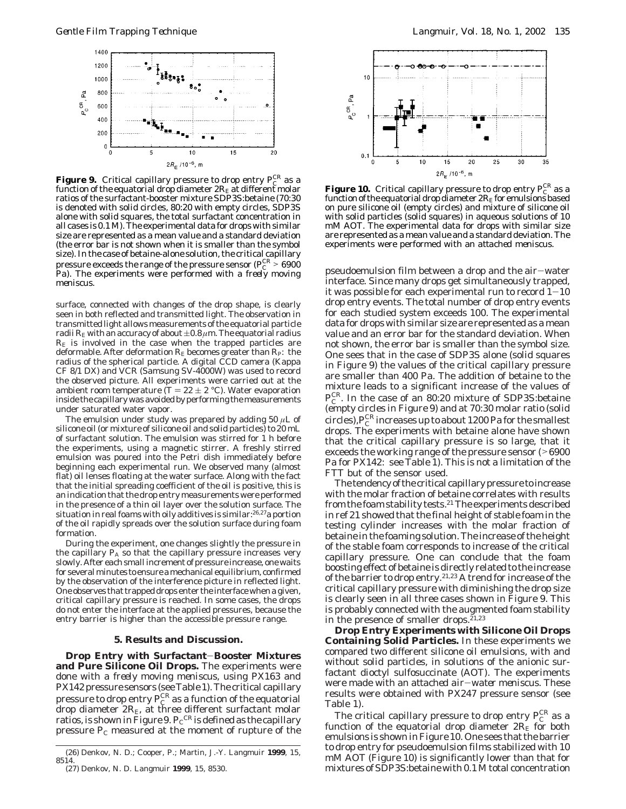

**Figure 9.** Critical capillary pressure to drop entry  $P_{\text{C}}^{\text{CR}}$  as a function of the equatorial drop diameter  $2R_E$  at different molar ratios of the surfactant-booster mixture SDP3S:betaine (70:30 is denoted with solid circles, 80:20 with empty circles, SDP3S alone with solid squares, the total surfactant concentration in all cases is 0.1 M). The experimental data for drops with similar size are represented as a mean value and a standard deviation (the error bar is not shown when it is smaller than the symbol size). In the case of betaine-alone solution, the critical capillary pressure exceeds the range of the pressure sensor (*PC<sup>R</sup> >* 6900<br>Pa). The experiments were performed with a *freely movine* Pa). The experiments were performed with a *freely moving meniscus*.

surface, connected with changes of the drop shape, is clearly seen in both reflected and transmitted light. The observation in transmitted light allows measurements of the equatorial particle radii  $R_{\rm E}$  with an accuracy of about  $\pm 0.8 \mu$ m. The equatorial radius *R*<sup>E</sup> is involved in the case when the trapped particles are deformable. After deformation  $R_{\rm E}$  becomes greater than  $R_{\rm P}$ : the radius of the spherical particle. A digital CCD camera (Kappa CF 8/1 DX) and VCR (Samsung SV-4000W) was used to record the observed picture. All experiments were carried out at the ambient room temperature ( $T = 22 \pm 2$  °C). Water evaporation inside the capillary was avoided by performing the measurements under saturated water vapor.

The emulsion under study was prepared by adding 50 *µ*L of silicone oil (or mixture of silicone oil and solid particles) to 20 mL of surfactant solution. The emulsion was stirred for 1 h before the experiments, using a magnetic stirrer. A freshly stirred emulsion was poured into the Petri dish immediately before beginning each experimental run. We observed many (almost flat) oil lenses floating at the water surface. Along with the fact that the initial spreading coefficient of the oil is positive, this is an indication that the drop entry measurements were performed in the presence of a thin oil layer over the solution surface. The situation in real foams with oily additives is similar:<sup>26,27</sup>a portion of the oil rapidly spreads over the solution surface during foam formation.

During the experiment, one changes slightly the pressure in the capillary  $P_A$  so that the capillary pressure increases very slowly. After each small increment of pressure increase, one waits for several minutes to ensure a mechanical equilibrium, confirmed by the observation of the interference picture in reflected light. One observes that trapped drops enter the interface when a given, critical capillary pressure is reached. In some cases, the drops do not enter the interface at the applied pressures, because the entry barrier is higher than the accessible pressure range.

# **5. Results and Discussion.**

**Drop Entry with Surfactant**-**Booster Mixtures and Pure Silicone Oil Drops.** The experiments were done with a *freely moving meniscus*, using PX163 and PX142 pressure sensors (see Table 1). The critical capillary pressure to drop entry  $P_\mathbb{C}^\mathbb{CR}$  as a function of the equatorial drop diameter  $2R_{\rm E}$ , at three different surfactant molar ratios, is shown in Figure 9.  $P_{\rm C}^{\rm CR}$  is defined as the capillary pressure  $P_c$  measured at the moment of rupture of the



**Figure 10.** Critical capillary pressure to drop entry  $P_{\text{C}}^{\text{CR}}$  as a function of the equatorial drop diameter  $2R_E$  for emulsions based on pure silicone oil (empty circles) and mixture of silicone oil with solid particles (solid squares) in aqueous solutions of 10 mM AOT. The experimental data for drops with similar size are represented as a mean value and a standard deviation. The experiments were performed with an *attached meniscus*.

pseudoemulsion film between a drop and the air-water interface. Since many drops get simultaneously trapped, it was possible for each experimental run to record 1-<sup>10</sup> drop entry events. The total number of drop entry events for each studied system exceeds 100. The experimental data for drops with similar size are represented as a mean value and an error bar for the standard deviation. When not shown, the error bar is smaller than the symbol size. One sees that in the case of SDP3S alone (solid squares in Figure 9) the values of the critical capillary pressure are smaller than 400 Pa. The addition of betaine to the mixture leads to a significant increase of the values of  $P_{\rm C}^{\rm CR}$ . In the case of an 80:20 mixture of SDP3S:betaine (empty circles in Figure 9) and at 70:30 molar ratio (solid circles), $P^{\rm CR}_{\rm C}$  increases up to about 1200 Pa for the smallest drops. The experiments with betaine alone have shown that the critical capillary pressure is so large, that it exceeds the working range of the pressure sensor (><sup>6900</sup> Pa for PX142: see Table 1). This is not a limitation of the FTT but of the sensor used.

The tendency of the critical capillary pressure to increase with the molar fraction of betaine correlates with results from the foam stability tests.<sup>21</sup> The experiments described in ref 21 showed that the final height of stable foam in the testing cylinder increases with the molar fraction of betaine in the foaming solution. The increase of the height of the stable foam corresponds to increase of the critical capillary pressure. One can conclude that the foam boosting effect of betaine is directly related to the increase of the barrier to drop entry.21,23 A trend for increase of the critical capillary pressure with diminishing the drop size is clearly seen in all three cases shown in Figure 9. This is probably connected with the augmented foam stability in the presence of smaller drops. $21,23$ 

**Drop Entry Experiments with Silicone Oil Drops Containing Solid Particles***.* In these experiments we compared two different silicone oil emulsions, with and without solid particles, in solutions of the anionic surfactant dioctyl sulfosuccinate (AOT). The experiments were made with an *attached air*-*water meniscus*. These results were obtained with PX247 pressure sensor (see Table 1).

The critical capillary pressure to drop entry  $P_{\mathrm{C}}^{\mathrm{CR}}$  as a function of the equatorial drop diameter  $2R_{\rm E}$  for both emulsions is shown in Figure 10. One sees that the barrier to drop entry for pseudoemulsion films stabilized with 10 mM AOT (Figure 10) is significantly lower than that for mixtures of SDP3S:betaine with 0.1 M total concentration

<sup>(26)</sup> Denkov, N. D.; Cooper, P.; Martin, J.-Y. *Langmuir* **1999**, *15*, 8514.

<sup>(27)</sup> Denkov, N. D. *Langmuir* **1999**, *15*, 8530.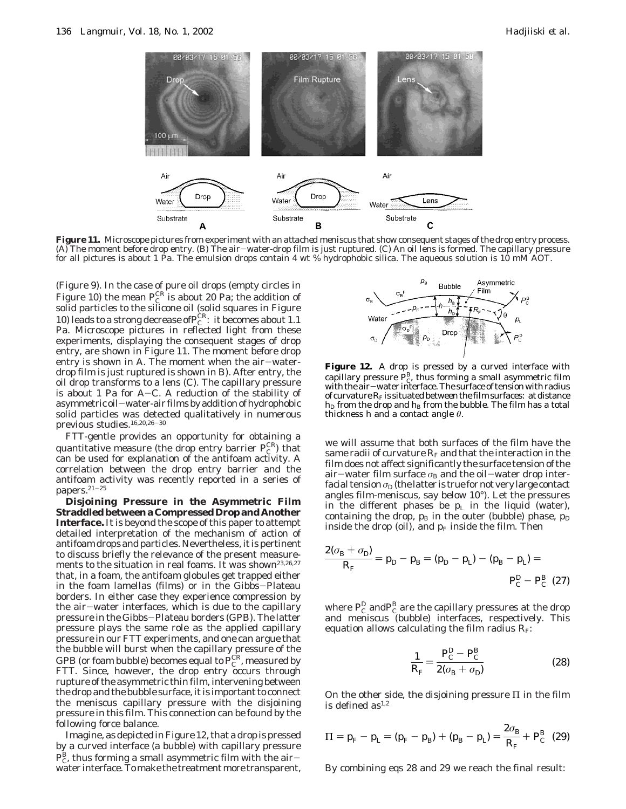

**Figure 11.** Microscope pictures from experiment with an *attached meniscus* that show consequent stages of the drop entry process. (A) The moment before drop entry. (B) The air-water-drop film is just ruptured. (C) An oil lens is formed. The capillary pressure for all pictures is about 1 Pa. The emulsion drops contain 4 wt % hydrophobic silica. The aqueous solution is 10 mM AOT.

(Figure 9). In the case of pure oil drops (empty circles in Figure 10) the mean  $P_{\mathrm{C}}^{\mathrm{CR}}$  is about 20 Pa; the addition of solid particles to the silicone oil (solid squares in Figure 10) leads to a strong decrease of  $P_{\rm C}^{\rm CR}$ : it becomes about 1.1 Pa. Microscope pictures in reflected light from these experiments, displaying the consequent stages of drop entry, are shown in Figure 11. The moment before drop entry is shown in A. The moment when the air-waterdrop film is just ruptured is shown in B). After entry, the oil drop transforms to a lens (C). The capillary pressure is about 1 Pa for A-C. A reduction of the stability of asymmetric oil-water-air films by addition of hydrophobic solid particles was detected qualitatively in numerous previous studies.16,20,26-<sup>30</sup>

FTT-gentle provides an opportunity for obtaining a quantitative measure (the drop entry barrier  $P_{\text{C}}^{\text{CR}}$ ) that can be used for explanation of the antifoam activity. A correlation between the drop entry barrier and the antifoam activity was recently reported in a series of papers.21-<sup>25</sup>

**Disjoining Pressure in the Asymmetric Film Straddled between a Compressed Drop and Another Interface.** It is beyond the scope of this paper to attempt detailed interpretation of the mechanism of action of antifoam drops and particles. Nevertheless, it is pertinent to discuss briefly the relevance of the present measurements to the situation in real foams. It was shown<sup>23,26,27</sup> that, in a foam, the antifoam globules get trapped either in the foam lamellas (films) or in the Gibbs-Plateau borders. In either case they experience compression by the air-water interfaces, which is due to the capillary pressure in the Gibbs-Plateau borders (GPB). The latter pressure plays the same role as the applied capillary pressure in our FTT experiments, and one can argue that the bubble will burst when the capillary pressure of the GPB (or foam bubble) becomes equal to  $P_{\mathrm{C}}^{\mathrm{CR}}$ , measured by FTT. Since, however, the drop entry occurs through rupture of the asymmetric thin film, intervening between the drop and the bubble surface, it is important to connect the meniscus capillary pressure with the disjoining pressure in this film. This connection can be found by the following force balance.

Imagine, as depicted in Figure 12, that a drop is pressed by a curved interface (a bubble) with capillary pressure  $P_{\rm C}^{\rm B}$ , thus forming a small asymmetric film with the air $$ water interface. To make the treatment more transparent,



**Figure 12.** A drop is pressed by a curved interface with capillary pressure  $P_C^B$ , thus forming a small asymmetric film with the air-water interface. The surface of tension with radius of curvature  $R_F$  is situated between the film surfaces: at distance  $h_D$  from the drop and  $h_B$  from the bubble. The film has a total thickness *h* and a contact angle *θ*.

we will assume that both surfaces of the film have the same radii of curvature  $R<sub>F</sub>$  and that the interaction in the film does not affect significantly the surface tension of the air-water film surface  $\sigma_B$  and the oil-water drop interfacial tension  $\sigma_{\rm D}$  (the latter is true for not very large contact angles film-meniscus, say below 10°). Let the pressures in the different phases be  $p_L$  in the liquid (water), containing the drop,  $p_B$  in the outer (bubble) phase,  $p_D$ inside the drop (oil), and  $p_F$  inside the film. Then

$$
\frac{2(\sigma_{\rm B} + \sigma_{\rm D})}{R_{\rm F}} = p_{\rm D} - p_{\rm B} = (p_{\rm D} - p_{\rm L}) - (p_{\rm B} - p_{\rm L}) =
$$
  

$$
P_{\rm C}^{\rm D} - P_{\rm C}^{\rm B} \tag{27}
$$

where  $P_{\mathrm{C}}^{\mathrm{D}}$  and $P_{\mathrm{C}}^{\mathrm{B}}$  are the capillary pressures at the drop and meniscus (bubble) interfaces, respectively. This equation allows calculating the film radius  $R_F$ :

$$
\frac{1}{R_{\rm F}} = \frac{P_{\rm C}^{\rm D} - P_{\rm C}^{\rm B}}{2(\sigma_{\rm B} + \sigma_{\rm D})}
$$
(28)

On the other side, the disjoining pressure Π in the film is defined  $as<sup>1,2</sup>$ 

$$
\Pi = p_{\rm F} - p_{\rm L} = (p_{\rm F} - p_{\rm B}) + (p_{\rm B} - p_{\rm L}) = \frac{2\sigma_{\rm B}}{R_{\rm F}} + P_{\rm C}^{\rm B} \tag{29}
$$

By combining eqs 28 and 29 we reach the final result: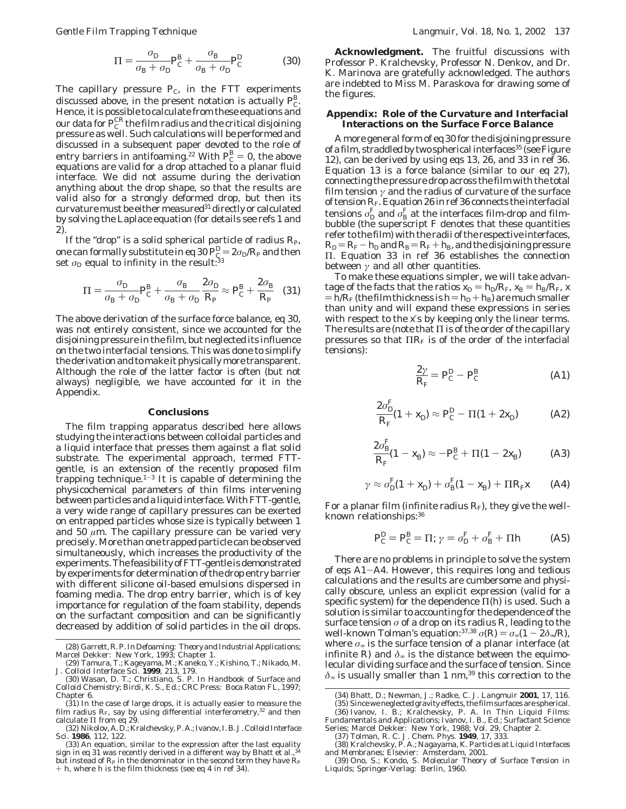$$
\Pi = \frac{\sigma_{\rm D}}{\sigma_{\rm B} + \sigma_{\rm D}} P_{\rm C}^{\rm B} + \frac{\sigma_{\rm B}}{\sigma_{\rm B} + \sigma_{\rm D}} P_{\rm C}^{\rm D} \tag{30}
$$

The capillary pressure  $P_c$ , in the FTT experiments discussed above, in the present notation is actually  $P_{\text{C}}^{\text{B}}$ . Hence, it is possible to calculate from these equations and our data for  $P^{\rm CR}_{\rm C}$  the film radius and the critical disjoining pressure as well. Such calculations will be performed and discussed in a subsequent paper devoted to the role of entry barriers in antifoaming.<sup>22</sup> With  $P_{\rm C}^{\rm B} = 0$ , the above equations are valid for a drop attached to a planar fluid equations are valid for a drop attached to a planar fluid interface. We did not assume during the derivation anything about the drop shape, so that the results are valid also for a strongly deformed drop, but then its curvature must be either measured<sup>31</sup> directly or calculated by solving the Laplace equation (for details see refs 1 and 2).

If the "drop" is a solid spherical particle of radius  $R_{\text{P}}$ , one can formally substitute in eq 30  $P_{\rm C}^{\rm D} = 2\sigma_{\rm D}/R_{\rm P}$  and then set  $\sigma_{\rm D}$  equal to infinity in the result:<sup>33</sup>

$$
\Pi = \frac{\sigma_{\rm D}}{\sigma_{\rm B} + \sigma_{\rm D}} P_{\rm C}^{\rm B} + \frac{\sigma_{\rm B}}{\sigma_{\rm B} + \sigma_{\rm D}} \frac{2\sigma_{\rm D}}{R_{\rm P}} \approx P_{\rm C}^{\rm B} + \frac{2\sigma_{\rm B}}{R_{\rm P}} \quad (31)
$$

The above derivation of the surface force balance, eq 30, was not entirely consistent, since we accounted for the disjoining pressure in the film, but neglected its influence on the two interfacial tensions. This was done to simplify the derivation and to make it physically more transparent. Although the role of the latter factor is often (but not always) negligible, we have accounted for it in the Appendix.

#### **Conclusions**

The film trapping apparatus described here allows studying the interactions between colloidal particles and a liquid interface that presses them against a flat solid substrate. The experimental approach, termed FTTgentle, is an extension of the recently proposed film trapping technique.<sup>1-3</sup> It is capable of determining the physicochemical parameters of thin films intervening between particles and a liquid interface. With FTT-gentle, a very wide range of capillary pressures can be exerted on entrapped particles whose size is typically between 1 and 50  $\mu$ m. The capillary pressure can be varied very precisely. More than one trapped particle can be observed simultaneously, which increases the productivity of the experiments. The feasibility of FTT-gentle is demonstrated by experiments for determination of the drop entry barrier with different silicone oil-based emulsions dispersed in foaming media. The drop entry barrier, which is of key importance for regulation of the foam stability, depends on the surfactant composition and can be significantly decreased by addition of solid particles in the oil drops.

**Acknowledgment.** The fruitful discussions with Professor P. Kralchevsky, Professor N. Denkov, and Dr. K. Marinova are gratefully acknowledged. The authors are indebted to Miss M. Paraskova for drawing some of the figures.

### **Appendix: Role of the Curvature and Interfacial Interactions on the Surface Force Balance**

A more general form of eq 30 for the disjoining pressure of a film, straddled by two spherical interfaces<sup>35</sup> (see Figure 12), can be derived by using eqs 13, 26, and 33 in ref 36. Equation 13 is a force balance (similar to our eq 27), connecting the pressure drop across the film with the total film tension  $\gamma$  and the radius of curvature of the surface of tension  $R_F$ . Equation 26 in ref 36 connects the interfacial tensions  $\sigma_{\rm D}^{\rm F}$  and  $\sigma_{\rm B}^{\rm F}$  at the interfaces film-drop and filmbubble (the superscript F denotes that these quantities refer to the film) with the radii of the respective interfaces,  $R_{\rm D} = R_{\rm F} - h_{\rm D}$  and  $R_{\rm B} = R_{\rm F} + h_{\rm B}$ , and the disjoining pressure Π. Equation 33 in ref 36 establishes the connection between  $\gamma$  and all other quantities.

To make these equations simpler, we will take advantage of the facts that the ratios  $x_D = h_D/R_F$ ,  $x_B = h_B/R_F$ , *x*  $= \bar{h}/R_F$  (the film thickness is  $h = h_D + h_B$ ) are much smaller than unity and will expand these expressions in series with respect to the *x*′s by keeping only the linear terms. The results are (note that Π is of the order of the capillary pressures so that  $\Pi R_F$  is of the order of the interfacial tensions):

F

$$
\frac{2\gamma}{R_{\rm F}} = P_{\rm C}^{\rm D} - P_{\rm C}^{\rm B} \tag{A1}
$$

$$
\frac{2\sigma_{\rm D}^{\rm F}}{R_{\rm F}}(1+x_{\rm D})\approx P_{\rm C}^{\rm D}-\Pi(1+2x_{\rm D})\tag{A2}
$$

$$
\frac{2\sigma_{\rm B}^{\rm F}}{R_{\rm F}}(1-x_{\rm B}) \approx -P_{\rm C}^{\rm B} + \Pi(1-2x_{\rm B})\tag{A3}
$$

$$
\gamma \approx \sigma_{\rm D}^{\rm F} (1 + x_{\rm D}) + \sigma_{\rm B}^{\rm F} (1 - x_{\rm B}) + \Pi R_{\rm F} x
$$
 (A4)

For a planar film (infinite radius  $R_F$ ), they give the wellknown relationships:36

$$
P_{\rm C}^{\rm D} = P_{\rm C}^{\rm B} = \Pi; \, \gamma = \sigma_{\rm D}^{\rm F} + \sigma_{\rm B}^{\rm F} + \Pi h \tag{A5}
$$

There are no problems in principle to solve the system of eqs A1-A4. However, this requires long and tedious calculations and the results are cumbersome and physically obscure, unless an explicit expression (valid for a specific system) for the dependence Π(*h*) is used. Such a solution is similar to accounting for the dependence of the surface tension  $\sigma$  of a drop on its radius  $\overline{R}$ , leading to the well-known Tolman's equation:<sup>37,38</sup>  $\sigma(R) = \sigma_{\infty}(1 - 2\delta_{\infty}/R)$ , where *σ*<sup>∞</sup> is the surface tension of a planar interface (at infinite *R*) and  $\delta_{\infty}$  is the distance between the equimolecular dividing surface and the surface of tension. Since  $\delta_{\infty}$  is usually smaller than 1 nm,<sup>39</sup> this correction to the

<sup>(28)</sup> Garrett, R. P. In*Defoaming: Theory and Industrial Applications*; Marcel Dekker: New York, 1993; Chapter 1.

<sup>(29)</sup> Tamura, T.; Kageyama, M.; Kaneko, Y.; Kishino, T.; Nikado, M. *J. Colloid Interface Sci.* **1999**, *213*, 179. (30) Wasan, D. T.; Christiano, S. P. In *Handbook of Surface and*

*Colloid Chemistry*; Birdi, K. S., Ed.; CRC Press: Boca Raton FL, 1997; Chapter 6.

<sup>(31)</sup> In the case of large drops, it is actually easier to measure the film radius  $R_{\rm F}$ , say by using differential interferometry,<sup>32</sup> and then calculate Π from eq 29.

<sup>(32)</sup> Nikolov, A. D.; Kralchevsky, P. A.; Ivanov, I. B.*J. Colloid Interface Sci.* **1986**, *112*, 122.

<sup>(33)</sup> An equation, similar to the expression after the last equality sign in eq 31 was recently derived in a different way by Bhatt et al.,  $^{34}$ but instead of  $R_{\rm P}$  in the denominator in the second term they have  $R_{\rm P}$ + *<sup>h</sup>*, where *<sup>h</sup>* is the film thickness (see eq 4 in ref 34).

<sup>(34)</sup> Bhatt, D.; Newman, J.; Radke, C. J. *Langmuir* **2001**, *17*, 116.

<sup>(35)</sup> Since we neglected gravity effects, the film surfaces are spherical. (36) Ivanov, I. B.; Kralchevsky, P. A. In *Thin Liquid Films: Fundamentals and Applications*; Ivanov, I. B., Ed.; Surfactant Science

Series; Marcel Dekker: New York, 1988; Vol. 29, Chapter 2. (37) Tolman, R. C. *J. Chem. Phys.* **1949**, *17*, 333. (38) Kralchevsky, P. A.; Nagayama, K. *Particles at Liquid Interfaces*

*and Membranes*; Elsevier: Amsterdam, 2001.

<sup>(39)</sup> Ono, S.; Kondo, S. *Molecular Theory of Surface Tension in Liquids*; Springer-Verlag: Berlin, 1960.